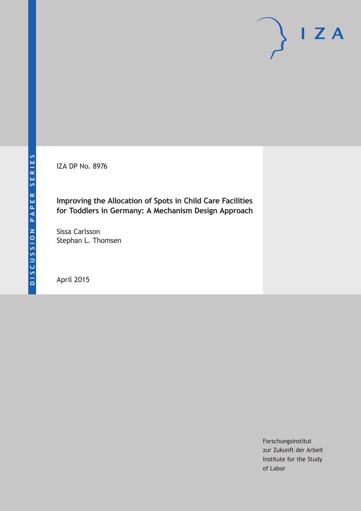IZA DP No. 8976

## **Improving the Allocation of Spots in Child Care Facilities for Toddlers in Germany: A Mechanism Design Approach**

Sissa Carlsson Stephan L. Thomsen

April 2015

Forschungsinstitut zur Zukunft der Arbeit Institute for the Study of Labor

 $I Z A$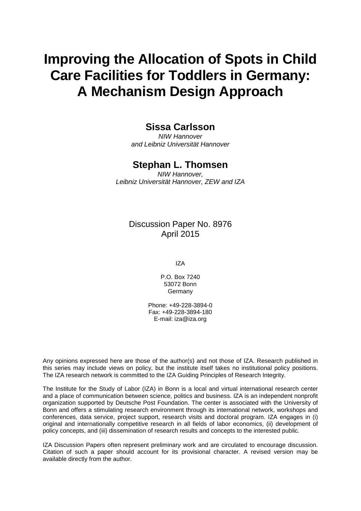# **Improving the Allocation of Spots in Child Care Facilities for Toddlers in Germany: A Mechanism Design Approach**

### **Sissa Carlsson**

*NIW Hannover and Leibniz Universität Hannover*

## **Stephan L. Thomsen**

*NIW Hannover, Leibniz Universität Hannover, ZEW and IZA*

### Discussion Paper No. 8976 April 2015

IZA

P.O. Box 7240 53072 Bonn Germany

Phone: +49-228-3894-0 Fax: +49-228-3894-180 E-mail: iza@iza.org

Any opinions expressed here are those of the author(s) and not those of IZA. Research published in this series may include views on policy, but the institute itself takes no institutional policy positions. The IZA research network is committed to the IZA Guiding Principles of Research Integrity.

The Institute for the Study of Labor (IZA) in Bonn is a local and virtual international research center and a place of communication between science, politics and business. IZA is an independent nonprofit organization supported by Deutsche Post Foundation. The center is associated with the University of Bonn and offers a stimulating research environment through its international network, workshops and conferences, data service, project support, research visits and doctoral program. IZA engages in (i) original and internationally competitive research in all fields of labor economics, (ii) development of policy concepts, and (iii) dissemination of research results and concepts to the interested public.

IZA Discussion Papers often represent preliminary work and are circulated to encourage discussion. Citation of such a paper should account for its provisional character. A revised version may be available directly from the author.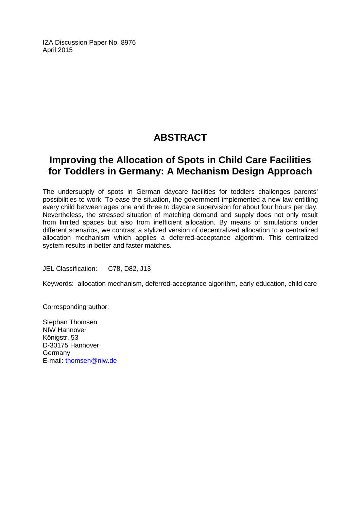IZA Discussion Paper No. 8976 April 2015

# **ABSTRACT**

# **Improving the Allocation of Spots in Child Care Facilities for Toddlers in Germany: A Mechanism Design Approach**

The undersupply of spots in German daycare facilities for toddlers challenges parents' possibilities to work. To ease the situation, the government implemented a new law entitling every child between ages one and three to daycare supervision for about four hours per day. Nevertheless, the stressed situation of matching demand and supply does not only result from limited spaces but also from inefficient allocation. By means of simulations under different scenarios, we contrast a stylized version of decentralized allocation to a centralized allocation mechanism which applies a deferred-acceptance algorithm. This centralized system results in better and faster matches.

JEL Classification: C78, D82, J13

Keywords: allocation mechanism, deferred-acceptance algorithm, early education, child care

Corresponding author:

Stephan Thomsen NIW Hannover Königstr, 53 D-30175 Hannover Germany E-mail: [thomsen@niw.de](mailto:thomsen@niw.de)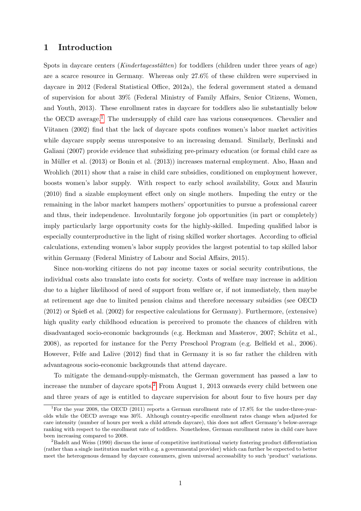#### 1 Introduction

Spots in daycare centers  $(Kindertagesstätten)$  for toddlers (children under three years of age) are a scarce resource in Germany. Whereas only 27.6% of these children were supervised in daycare in 2012 (Federal Statistical Office, 2012a), the federal government stated a demand of supervision for about 39% (Federal Ministry of Family Affairs, Senior Citizens, Women, and Youth, 2013). These enrollment rates in daycare for toddlers also lie substantially below the OECD average.[1](#page-3-0) The undersupply of child care has various consequences. Chevalier and Viitanen (2002) find that the lack of daycare spots confines women's labor market activities while daycare supply seems unresponsive to an increasing demand. Similarly, Berlinski and Galiani (2007) provide evidence that subsidizing pre-primary education (or formal child care as in Müller et al. (2013) or Bonin et al. (2013)) increases maternal employment. Also, Haan and Wrohlich (2011) show that a raise in child care subsidies, conditioned on employment however, boosts women's labor supply. With respect to early school availability, Goux and Maurin (2010) find a sizable employment effect only on single mothers. Impeding the entry or the remaining in the labor market hampers mothers' opportunities to pursue a professional career and thus, their independence. Involuntarily forgone job opportunities (in part or completely) imply particularly large opportunity costs for the highly-skilled. Impeding qualified labor is especially counterproductive in the light of rising skilled worker shortages. According to official calculations, extending women's labor supply provides the largest potential to tap skilled labor within Germany (Federal Ministry of Labour and Social Affairs, 2015).

Since non-working citizens do not pay income taxes or social security contributions, the individual costs also translate into costs for society. Costs of welfare may increase in addition due to a higher likelihood of need of support from welfare or, if not immediately, then maybe at retirement age due to limited pension claims and therefore necessary subsidies (see OECD (2012) or Spieß et al. (2002) for respective calculations for Germany). Furthermore, (extensive) high quality early childhood education is perceived to promote the chances of children with disadvantaged socio-economic backgrounds (e.g. Heckman and Masterov, 2007; Schütz et al., 2008), as reported for instance for the Perry Preschool Program (e.g. Belfield et al., 2006). However, Felfe and Lalive (2012) find that in Germany it is so far rather the children with advantageous socio-economic backgrounds that attend daycare.

To mitigate the demand-supply-mismatch, the German government has passed a law to increase the number of daycare spots.[2](#page-3-1) From August 1, 2013 onwards every child between one and three years of age is entitled to daycare supervision for about four to five hours per day

<span id="page-3-0"></span><sup>&</sup>lt;sup>1</sup>For the year 2008, the OECD (2011) reports a German enrollment rate of 17.8% for the under-three-yearolds while the OECD average was 30%. Although country-specific enrollment rates change when adjusted for care intensity (number of hours per week a child attends daycare), this does not affect Germany's below-average ranking with respect to the enrollment rate of toddlers. Nonetheless, German enrollment rates in child care have been increasing compared to 2008.

<span id="page-3-1"></span><sup>&</sup>lt;sup>2</sup>Badelt and Weiss (1990) discuss the issue of competitive institutional variety fostering product differentiation (rather than a single institution market with e.g. a governmental provider) which can further be expected to better meet the heterogenous demand by daycare consumers, given universal accessability to such 'product' variations.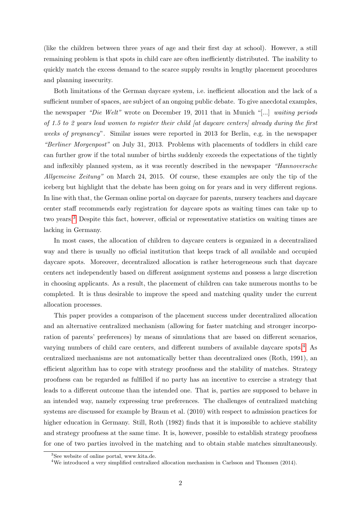(like the children between three years of age and their first day at school). However, a still remaining problem is that spots in child care are often inefficiently distributed. The inability to quickly match the excess demand to the scarce supply results in lengthy placement procedures and planning insecurity.

Both limitations of the German daycare system, i.e. inefficient allocation and the lack of a sufficient number of spaces, are subject of an ongoing public debate. To give anecdotal examples, the newspaper "Die Welt" wrote on December 19, 2011 that in Munich "[...] waiting periods of 1.5 to 2 years lead women to register their child [at daycare centers] already during the first weeks of pregnancy". Similar issues were reported in 2013 for Berlin, e.g. in the newspaper "Berliner Morgenpost" on July 31, 2013. Problems with placements of toddlers in child care can further grow if the total number of births suddenly exceeds the expectations of the tightly and inflexibly planned system, as it was recently described in the newspaper "Hannoversche Allgemeine Zeitung" on March 24, 2015. Of course, these examples are only the tip of the iceberg but highlight that the debate has been going on for years and in very different regions. In line with that, the German online portal on daycare for parents, nursery teachers and daycare center staff recommends early registration for daycare spots as waiting times can take up to two years.[3](#page-4-0) Despite this fact, however, official or representative statistics on waiting times are lacking in Germany.

In most cases, the allocation of children to daycare centers is organized in a decentralized way and there is usually no official institution that keeps track of all available and occupied daycare spots. Moreover, decentralized allocation is rather heterogeneous such that daycare centers act independently based on different assignment systems and possess a large discretion in choosing applicants. As a result, the placement of children can take numerous months to be completed. It is thus desirable to improve the speed and matching quality under the current allocation processes.

This paper provides a comparison of the placement success under decentralized allocation and an alternative centralized mechanism (allowing for faster matching and stronger incorporation of parents' preferences) by means of simulations that are based on different scenarios, varying numbers of child care centers, and different numbers of available daycare spots.[4](#page-4-1) As centralized mechanisms are not automatically better than decentralized ones (Roth, 1991), an efficient algorithm has to cope with strategy proofness and the stability of matches. Strategy proofness can be regarded as fulfilled if no party has an incentive to exercise a strategy that leads to a different outcome than the intended one. That is, parties are supposed to behave in an intended way, namely expressing true preferences. The challenges of centralized matching systems are discussed for example by Braun et al. (2010) with respect to admission practices for higher education in Germany. Still, Roth (1982) finds that it is impossible to achieve stability and strategy proofness at the same time. It is, however, possible to establish strategy proofness for one of two parties involved in the matching and to obtain stable matches simultaneously.

<span id="page-4-0"></span><sup>3</sup>See website of online portal, www.kita.de.

<span id="page-4-1"></span><sup>4</sup>We introduced a very simplified centralized allocation mechanism in Carlsson and Thomsen (2014).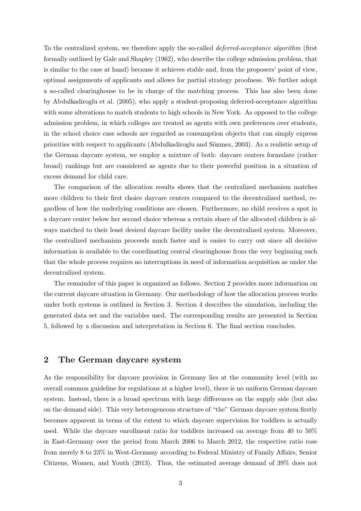To the centralized system, we therefore apply the so-called deferred-acceptance algorithm (first formally outlined by Gale and Shapley (1962), who describe the college admission problem, that is similar to the case at hand) because it achieves stable and, from the proposers' point of view, optimal assignments of applicants and allows for partial strategy proofness. We further adopt a so-called clearinghouse to be in charge of the matching process. This has also been done by Abdulkadiroglu et al. (2005), who apply a student-proposing deferred-acceptance algorithm with some alterations to match students to high schools in New York. As opposed to the college admission problem, in which colleges are treated as agents with own preferences over students, in the school choice case schools are regarded as consumption objects that can simply express priorities with respect to applicants (Abdulkadiroglu and Sönmez, 2003). As a realistic setup of the German daycare system, we employ a mixture of both: daycare centers formulate (rather broad) rankings but are considered as agents due to their powerful position in a situation of excess demand for child care.

The comparison of the allocation results shows that the centralized mechanism matches more children to their first choice daycare centers compared to the decentralized method, regardless of how the underlying conditions are chosen. Furthermore, no child receives a spot in a daycare center below her second choice whereas a certain share of the allocated children is always matched to their least desired daycare facility under the decentralized system. Moreover, the centralized mechanism proceeds much faster and is easier to carry out since all decisive information is available to the coordinating central clearinghouse from the very beginning such that the whole process requires no interruptions in need of information acquisition as under the decentralized system.

The remainder of this paper is organized as follows. Section 2 provides more information on the current daycare situation in Germany. Our methodology of how the allocation process works under both systems is outlined in Section 3. Section 4 describes the simulation, including the generated data set and the variables used. The corresponding results are presented in Section 5, followed by a discussion and interpretation in Section 6. The final section concludes.

#### 2 The German daycare system

As the responsibility for daycare provision in Germany lies at the community level (with no overall common guideline for regulations at a higher level), there is no uniform German daycare system. Instead, there is a broad spectrum with large differences on the supply side (but also on the demand side). This very heterogeneous structure of "the" German daycare system firstly becomes apparent in terms of the extent to which daycare supervision for toddlers is actually used. While the daycare enrollment ratio for toddlers increased on average from 40 to 50% in East-Germany over the period from March 2006 to March 2012, the respective ratio rose from merely 8 to 23% in West-Germany according to Federal Ministry of Family Affairs, Senior Citizens, Women, and Youth (2013). Thus, the estimated average demand of 39% does not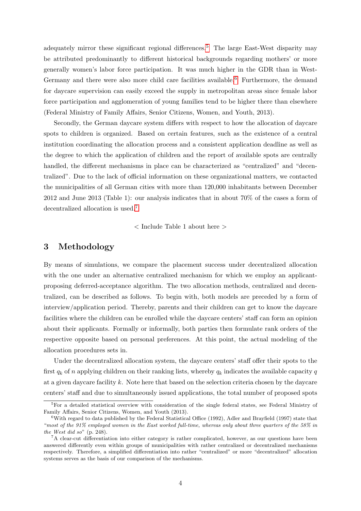adequately mirror these significant regional differences.<sup>[5](#page-6-0)</sup> The large East-West disparity may be attributed predominantly to different historical backgrounds regarding mothers' or more generally women's labor force participation. It was much higher in the GDR than in West-Germany and there were also more child care facilities available.<sup>[6](#page-6-1)</sup> Furthermore, the demand for daycare supervision can easily exceed the supply in metropolitan areas since female labor force participation and agglomeration of young families tend to be higher there than elsewhere (Federal Ministry of Family Affairs, Senior Citizens, Women, and Youth, 2013).

Secondly, the German daycare system differs with respect to how the allocation of daycare spots to children is organized. Based on certain features, such as the existence of a central institution coordinating the allocation process and a consistent application deadline as well as the degree to which the application of children and the report of available spots are centrally handled, the different mechanisms in place can be characterized as "centralized" and "decentralized". Due to the lack of official information on these organizational matters, we contacted the municipalities of all German cities with more than 120,000 inhabitants between December 2012 and June 2013 (Table 1): our analysis indicates that in about 70% of the cases a form of decentralized allocation is used.[7](#page-6-2)

< Include Table 1 about here >

#### 3 Methodology

By means of simulations, we compare the placement success under decentralized allocation with the one under an alternative centralized mechanism for which we employ an applicantproposing deferred-acceptance algorithm. The two allocation methods, centralized and decentralized, can be described as follows. To begin with, both models are preceded by a form of interview/application period. Thereby, parents and their children can get to know the daycare facilities where the children can be enrolled while the daycare centers' staff can form an opinion about their applicants. Formally or informally, both parties then formulate rank orders of the respective opposite based on personal preferences. At this point, the actual modeling of the allocation procedures sets in.

Under the decentralized allocation system, the daycare centers' staff offer their spots to the first  $q_k$  of n applying children on their ranking lists, whereby  $q_k$  indicates the available capacity q at a given daycare facility k. Note here that based on the selection criteria chosen by the daycare centers' staff and due to simultaneously issued applications, the total number of proposed spots

<span id="page-6-0"></span><sup>&</sup>lt;sup>5</sup>For a detailed statistical overview with consideration of the single federal states, see Federal Ministry of Family Affairs, Senior Citizens, Women, and Youth (2013).

<span id="page-6-1"></span><sup>6</sup>With regard to data published by the Federal Statistical Office (1992), Adler and Brayfield (1997) state that "most of the 91% employed women in the East worked full-time, whereas only about three quarters of the 58% in the West did so" (p. 248).

<span id="page-6-2"></span><sup>&</sup>lt;sup>7</sup>A clear-cut differentiation into either category is rather complicated, however, as our questions have been answered differently even within groups of municipalities with rather centralized or decentralized mechanisms respectively. Therefore, a simplified differentiation into rather "centralized" or more "decentralized" allocation systems serves as the basis of our comparison of the mechanisms.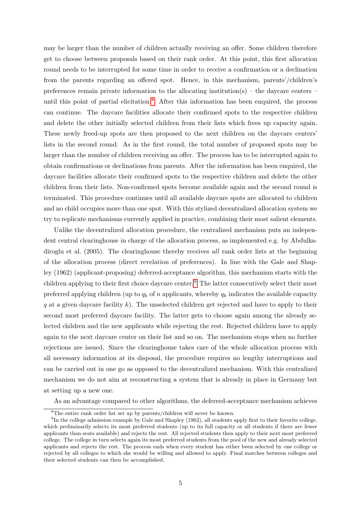may be larger than the number of children actually receiving an offer. Some children therefore get to choose between proposals based on their rank order. At this point, this first allocation round needs to be interrupted for some time in order to receive a confirmation or a declination from the parents regarding an offered spot. Hence, in this mechanism, parents'/children's preferences remain private information to the allocating institution(s) – the daycare centers – until this point of partial elicitation.<sup>[8](#page-7-0)</sup> After this information has been enquired, the process can continue. The daycare facilities allocate their confirmed spots to the respective children and delete the other initially selected children from their lists which frees up capacity again. These newly freed-up spots are then proposed to the next children on the daycare centers' lists in the second round. As in the first round, the total number of proposed spots may be larger than the number of children receiving an offer. The process has to be interrupted again to obtain confirmations or declinations from parents. After the information has been enquired, the daycare facilities allocate their confirmed spots to the respective children and delete the other children from their lists. Non-confirmed spots become available again and the second round is terminated. This procedure continues until all available daycare spots are allocated to children and no child occupies more than one spot. With this stylized decentralized allocation system we try to replicate mechanisms currently applied in practice, combining their most salient elements.

Unlike the decentralized allocation procedure, the centralized mechanism puts an independent central clearinghouse in charge of the allocation process, as implemented e.g. by Abdulkadiroglu et al. (2005). The clearinghouse thereby receives all rank order lists at the beginning of the allocation process (direct revelation of preferences). In line with the Gale and Shapley (1962) (applicant-proposing) deferred-acceptance algorithm, this mechanism starts with the children applying to their first choice daycare center.<sup>[9](#page-7-1)</sup> The latter consecutively select their most preferred applying children (up to  $q_k$  of n applicants, whereby  $q_k$  indicates the available capacity q at a given daycare facility  $k$ ). The unselected children get rejected and have to apply to their second most preferred daycare facility. The latter gets to choose again among the already selected children and the new applicants while rejecting the rest. Rejected children have to apply again to the next daycare center on their list and so on. The mechanism stops when no further rejections are issued. Since the clearinghouse takes care of the whole allocation process with all necessary information at its disposal, the procedure requires no lengthy interruptions and can be carried out in one go as opposed to the decentralized mechanism. With this centralized mechanism we do not aim at reconstructing a system that is already in place in Germany but at setting up a new one.

As an advantage compared to other algorithms, the deferred-acceptance mechanism achieves

<span id="page-7-1"></span><span id="page-7-0"></span><sup>8</sup>The entire rank order list set up by parents/children will never be known.

<sup>&</sup>lt;sup>9</sup>In the college admission example by Gale and Shapley (1962), all students apply first to their favorite college, which preliminarily selects its most preferred students (up to its full capacity or all students if there are fewer applicants than seats available) and rejects the rest. All rejected students then apply to their next most preferred college. The college in turn selects again its most preferred students from the pool of the new and already selected applicants and rejects the rest. The process ends when every student has either been selected by one college or rejected by all colleges to which she would be willing and allowed to apply. Final matches between colleges and their selected students can then be accomplished.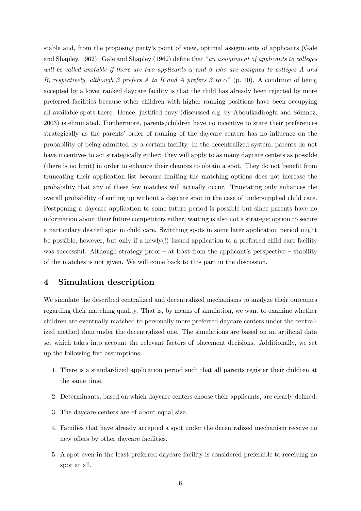stable and, from the proposing party's point of view, optimal assignments of applicants (Gale and Shapley, 1962). Gale and Shapley (1962) define that "an assignment of applicants to colleges will be called unstable if there are two applicants  $\alpha$  and  $\beta$  who are assigned to colleges A and B, respectively, although  $\beta$  prefers A to B and A prefers  $\beta$  to  $\alpha$ " (p. 10). A condition of being accepted by a lower ranked daycare facility is that the child has already been rejected by more preferred facilities because other children with higher ranking positions have been occupying all available spots there. Hence, justified envy (discussed e.g. by Abdulkadiroglu and Sönmez, 2003) is eliminated. Furthermore, parents/children have no incentive to state their preferences strategically as the parents' order of ranking of the daycare centers has no influence on the probability of being admitted by a certain facility. In the decentralized system, parents do not have incentives to act strategically either: they will apply to as many daycare centers as possible (there is no limit) in order to enhance their chances to obtain a spot. They do not benefit from truncating their application list because limiting the matching options does not increase the probability that any of these few matches will actually occur. Truncating only enhances the overall probability of ending up without a daycare spot in the case of undersupplied child care. Postponing a daycare application to some future period is possible but since parents have no information about their future competitors either, waiting is also not a strategic option to secure a particulary desired spot in child care. Switching spots in some later application period might be possible, however, but only if a newly(!) issued application to a preferred child care facility was successful. Although strategy proof – at least from the applicant's perspective – stability of the matches is not given. We will come back to this part in the discussion.

#### 4 Simulation description

We simulate the described centralized and decentralized mechanisms to analyze their outcomes regarding their matching quality. That is, by means of simulation, we want to examine whether children are eventually matched to personally more preferred daycare centers under the centralized method than under the decentralized one. The simulations are based on an artificial data set which takes into account the relevant factors of placement decisions. Additionally, we set up the following five assumptions:

- 1. There is a standardized application period such that all parents register their children at the same time.
- 2. Determinants, based on which daycare centers choose their applicants, are clearly defined.
- 3. The daycare centers are of about equal size.
- 4. Families that have already accepted a spot under the decentralized mechanism receive no new offers by other daycare facilities.
- 5. A spot even in the least preferred daycare facility is considered preferable to receiving no spot at all.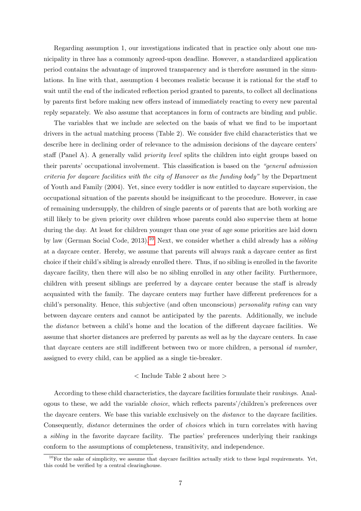Regarding assumption 1, our investigations indicated that in practice only about one municipality in three has a commonly agreed-upon deadline. However, a standardized application period contains the advantage of improved transparency and is therefore assumed in the simulations. In line with that, assumption 4 becomes realistic because it is rational for the staff to wait until the end of the indicated reflection period granted to parents, to collect all declinations by parents first before making new offers instead of immediately reacting to every new parental reply separately. We also assume that acceptances in form of contracts are binding and public.

The variables that we include are selected on the basis of what we find to be important drivers in the actual matching process (Table 2). We consider five child characteristics that we describe here in declining order of relevance to the admission decisions of the daycare centers' staff (Panel A). A generally valid priority level splits the children into eight groups based on their parents' occupational involvement. This classification is based on the "general admission criteria for daycare facilities with the city of Hanover as the funding body" by the Department of Youth and Family (2004). Yet, since every toddler is now entitled to daycare supervision, the occupational situation of the parents should be insignificant to the procedure. However, in case of remaining undersupply, the children of single parents or of parents that are both working are still likely to be given priority over children whose parents could also supervise them at home during the day. At least for children younger than one year of age some priorities are laid down by law (German Social Code, 2013).<sup>[10](#page-9-0)</sup> Next, we consider whether a child already has a *sibling* at a daycare center. Hereby, we assume that parents will always rank a daycare center as first choice if their child's sibling is already enrolled there. Thus, if no sibling is enrolled in the favorite daycare facility, then there will also be no sibling enrolled in any other facility. Furthermore, children with present siblings are preferred by a daycare center because the staff is already acquainted with the family. The daycare centers may further have different preferences for a child's personality. Hence, this subjective (and often unconscious) personality rating can vary between daycare centers and cannot be anticipated by the parents. Additionally, we include the distance between a child's home and the location of the different daycare facilities. We assume that shorter distances are preferred by parents as well as by the daycare centers. In case that daycare centers are still indifferent between two or more children, a personal id number, assigned to every child, can be applied as a single tie-breaker.

#### < Include Table 2 about here >

According to these child characteristics, the daycare facilities formulate their rankings. Analogous to these, we add the variable choice, which reflects parents'/children's preferences over the daycare centers. We base this variable exclusively on the distance to the daycare facilities. Consequently, distance determines the order of choices which in turn correlates with having a sibling in the favorite daycare facility. The parties' preferences underlying their rankings conform to the assumptions of completeness, transitivity, and independence.

<span id="page-9-0"></span> $10$ For the sake of simplicity, we assume that daycare facilities actually stick to these legal requirements. Yet, this could be verified by a central clearinghouse.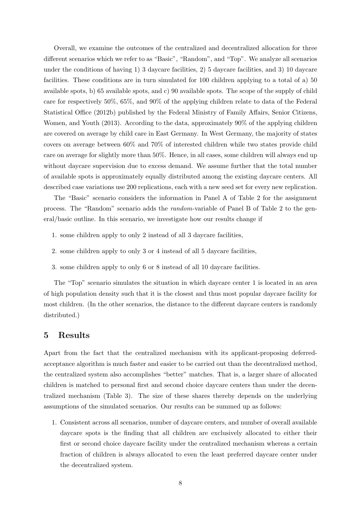Overall, we examine the outcomes of the centralized and decentralized allocation for three different scenarios which we refer to as "Basic", "Random", and "Top". We analyze all scenarios under the conditions of having 1) 3 daycare facilities, 2) 5 daycare facilities, and 3) 10 daycare facilities. These conditions are in turn simulated for 100 children applying to a total of a) 50 available spots, b) 65 available spots, and c) 90 available spots. The scope of the supply of child care for respectively 50%, 65%, and 90% of the applying children relate to data of the Federal Statistical Office (2012b) published by the Federal Ministry of Family Affairs, Senior Citizens, Women, and Youth (2013). According to the data, approximately 90% of the applying children are covered on average by child care in East Germany. In West Germany, the majority of states covers on average between 60% and 70% of interested children while two states provide child care on average for slightly more than 50%. Hence, in all cases, some children will always end up without daycare supervision due to excess demand. We assume further that the total number of available spots is approximately equally distributed among the existing daycare centers. All described case variations use 200 replications, each with a new seed set for every new replication.

The "Basic" scenario considers the information in Panel A of Table 2 for the assignment process. The "Random" scenario adds the random-variable of Panel B of Table 2 to the general/basic outline. In this scenario, we investigate how our results change if

- 1. some children apply to only 2 instead of all 3 daycare facilities,
- 2. some children apply to only 3 or 4 instead of all 5 daycare facilities,
- 3. some children apply to only 6 or 8 instead of all 10 daycare facilities.

The "Top" scenario simulates the situation in which daycare center 1 is located in an area of high population density such that it is the closest and thus most popular daycare facility for most children. (In the other scenarios, the distance to the different daycare centers is randomly distributed.)

#### 5 Results

Apart from the fact that the centralized mechanism with its applicant-proposing deferredacceptance algorithm is much faster and easier to be carried out than the decentralized method, the centralized system also accomplishes "better" matches. That is, a larger share of allocated children is matched to personal first and second choice daycare centers than under the decentralized mechanism (Table 3). The size of these shares thereby depends on the underlying assumptions of the simulated scenarios. Our results can be summed up as follows:

1. Consistent across all scenarios, number of daycare centers, and number of overall available daycare spots is the finding that all children are exclusively allocated to either their first or second choice daycare facility under the centralized mechanism whereas a certain fraction of children is always allocated to even the least preferred daycare center under the decentralized system.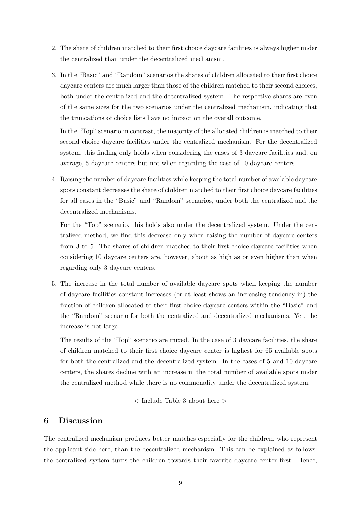- 2. The share of children matched to their first choice daycare facilities is always higher under the centralized than under the decentralized mechanism.
- 3. In the "Basic" and "Random" scenarios the shares of children allocated to their first choice daycare centers are much larger than those of the children matched to their second choices, both under the centralized and the decentralized system. The respective shares are even of the same sizes for the two scenarios under the centralized mechanism, indicating that the truncations of choice lists have no impact on the overall outcome.

In the "Top" scenario in contrast, the majority of the allocated children is matched to their second choice daycare facilities under the centralized mechanism. For the decentralized system, this finding only holds when considering the cases of 3 daycare facilities and, on average, 5 daycare centers but not when regarding the case of 10 daycare centers.

4. Raising the number of daycare facilities while keeping the total number of available daycare spots constant decreases the share of children matched to their first choice daycare facilities for all cases in the "Basic" and "Random" scenarios, under both the centralized and the decentralized mechanisms.

For the "Top" scenario, this holds also under the decentralized system. Under the centralized method, we find this decrease only when raising the number of daycare centers from 3 to 5. The shares of children matched to their first choice daycare facilities when considering 10 daycare centers are, however, about as high as or even higher than when regarding only 3 daycare centers.

5. The increase in the total number of available daycare spots when keeping the number of daycare facilities constant increases (or at least shows an increasing tendency in) the fraction of children allocated to their first choice daycare centers within the "Basic" and the "Random" scenario for both the centralized and decentralized mechanisms. Yet, the increase is not large.

The results of the "Top" scenario are mixed. In the case of 3 daycare facilities, the share of children matched to their first choice daycare center is highest for 65 available spots for both the centralized and the decentralized system. In the cases of 5 and 10 daycare centers, the shares decline with an increase in the total number of available spots under the centralized method while there is no commonality under the decentralized system.

< Include Table 3 about here >

#### 6 Discussion

The centralized mechanism produces better matches especially for the children, who represent the applicant side here, than the decentralized mechanism. This can be explained as follows: the centralized system turns the children towards their favorite daycare center first. Hence,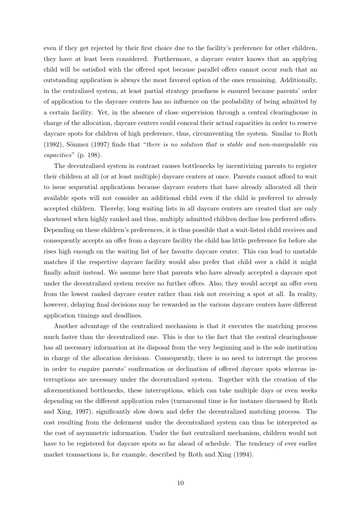even if they get rejected by their first choice due to the facility's preference for other children, they have at least been considered. Furthermore, a daycare center knows that an applying child will be satisfied with the offered spot because parallel offers cannot occur such that an outstanding application is always the most favored option of the ones remaining. Additionally, in the centralized system, at least partial strategy proofness is ensured because parents' order of application to the daycare centers has no influence on the probability of being admitted by a certain facility. Yet, in the absence of close supervision through a central clearinghouse in charge of the allocation, daycare centers could conceal their actual capacities in order to reserve daycare spots for children of high preference, thus, circumventing the system. Similar to Roth  $(1982)$ , Sönmez  $(1997)$  finds that "there is no solution that is stable and non-manipulable via capacities" (p. 198).

The decentralized system in contrast causes bottlenecks by incentivizing parents to register their children at all (or at least multiple) daycare centers at once. Parents cannot afford to wait to issue sequential applications because daycare centers that have already allocated all their available spots will not consider an additional child even if the child is preferred to already accepted children. Thereby, long waiting lists in all daycare centers are created that are only shortened when highly ranked and thus, multiply admitted children decline less preferred offers. Depending on these children's preferences, it is thus possible that a wait-listed child receives and consequently accepts an offer from a daycare facility the child has little preference for before she rises high enough on the waiting list of her favorite daycare center. This can lead to unstable matches if the respective daycare facility would also prefer that child over a child it might finally admit instead. We assume here that parents who have already accepted a daycare spot under the decentralized system receive no further offers. Also, they would accept an offer even from the lowest ranked daycare center rather than risk not receiving a spot at all. In reality, however, delaying final decisions may be rewarded as the various daycare centers have different application timings and deadlines.

Another advantage of the centralized mechanism is that it executes the matching process much faster than the decentralized one. This is due to the fact that the central clearinghouse has all necessary information at its disposal from the very beginning and is the sole institution in charge of the allocation decisions. Consequently, there is no need to interrupt the process in order to enquire parents' confirmation or declination of offered daycare spots whereas interruptions are necessary under the decentralized system. Together with the creation of the aforementioned bottlenecks, these interruptions, which can take multiple days or even weeks depending on the different application rules (turnaround time is for instance discussed by Roth and Xing, 1997), significantly slow down and defer the decentralized matching process. The cost resulting from the deferment under the decentralized system can thus be interpreted as the cost of asymmetric information. Under the fast centralized mechanism, children would not have to be registered for daycare spots so far ahead of schedule. The tendency of ever earlier market transactions is, for example, described by Roth and Xing (1994).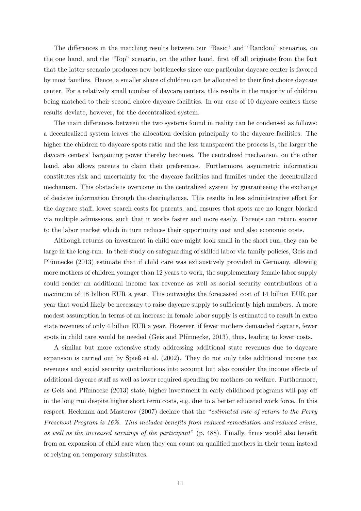The differences in the matching results between our "Basic" and "Random" scenarios, on the one hand, and the "Top" scenario, on the other hand, first off all originate from the fact that the latter scenario produces new bottlenecks since one particular daycare center is favored by most families. Hence, a smaller share of children can be allocated to their first choice daycare center. For a relatively small number of daycare centers, this results in the majority of children being matched to their second choice daycare facilities. In our case of 10 daycare centers these results deviate, however, for the decentralized system.

The main differences between the two systems found in reality can be condensed as follows: a decentralized system leaves the allocation decision principally to the daycare facilities. The higher the children to daycare spots ratio and the less transparent the process is, the larger the daycare centers' bargaining power thereby becomes. The centralized mechanism, on the other hand, also allows parents to claim their preferences. Furthermore, asymmetric information constitutes risk and uncertainty for the daycare facilities and families under the decentralized mechanism. This obstacle is overcome in the centralized system by guaranteeing the exchange of decisive information through the clearinghouse. This results in less administrative effort for the daycare staff, lower search costs for parents, and ensures that spots are no longer blocked via multiple admissions, such that it works faster and more easily. Parents can return sooner to the labor market which in turn reduces their opportunity cost and also economic costs.

Although returns on investment in child care might look small in the short run, they can be large in the long-run. In their study on safeguarding of skilled labor via family policies, Geis and Plünnecke (2013) estimate that if child care was exhaustively provided in Germany, allowing more mothers of children younger than 12 years to work, the supplementary female labor supply could render an additional income tax revenue as well as social security contributions of a maximum of 18 billion EUR a year. This outweighs the forecasted cost of 14 billion EUR per year that would likely be necessary to raise daycare supply to sufficiently high numbers. A more modest assumption in terms of an increase in female labor supply is estimated to result in extra state revenues of only 4 billion EUR a year. However, if fewer mothers demanded daycare, fewer spots in child care would be needed (Geis and Plünnecke, 2013), thus, leading to lower costs.

A similar but more extensive study addressing additional state revenues due to daycare expansion is carried out by Spieß et al. (2002). They do not only take additional income tax revenues and social security contributions into account but also consider the income effects of additional daycare staff as well as lower required spending for mothers on welfare. Furthermore, as Geis and Plünnecke (2013) state, higher investment in early childhood programs will pay off in the long run despite higher short term costs, e.g. due to a better educated work force. In this respect, Heckman and Masterov (2007) declare that the "estimated rate of return to the Perry Preschool Program is 16%. This includes benefits from reduced remediation and reduced crime, as well as the increased earnings of the participant" (p. 488). Finally, firms would also benefit from an expansion of child care when they can count on qualified mothers in their team instead of relying on temporary substitutes.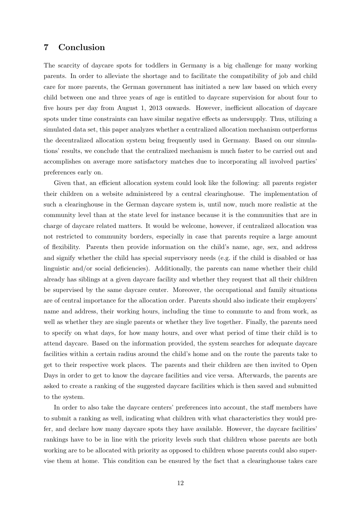#### 7 Conclusion

The scarcity of daycare spots for toddlers in Germany is a big challenge for many working parents. In order to alleviate the shortage and to facilitate the compatibility of job and child care for more parents, the German government has initiated a new law based on which every child between one and three years of age is entitled to daycare supervision for about four to five hours per day from August 1, 2013 onwards. However, inefficient allocation of daycare spots under time constraints can have similar negative effects as undersupply. Thus, utilizing a simulated data set, this paper analyzes whether a centralized allocation mechanism outperforms the decentralized allocation system being frequently used in Germany. Based on our simulations' results, we conclude that the centralized mechanism is much faster to be carried out and accomplishes on average more satisfactory matches due to incorporating all involved parties' preferences early on.

Given that, an efficient allocation system could look like the following: all parents register their children on a website administered by a central clearinghouse. The implementation of such a clearinghouse in the German daycare system is, until now, much more realistic at the community level than at the state level for instance because it is the communities that are in charge of daycare related matters. It would be welcome, however, if centralized allocation was not restricted to community borders, especially in case that parents require a large amount of flexibility. Parents then provide information on the child's name, age, sex, and address and signify whether the child has special supervisory needs (e.g. if the child is disabled or has linguistic and/or social deficiencies). Additionally, the parents can name whether their child already has siblings at a given daycare facility and whether they request that all their children be supervised by the same daycare center. Moreover, the occupational and family situations are of central importance for the allocation order. Parents should also indicate their employers' name and address, their working hours, including the time to commute to and from work, as well as whether they are single parents or whether they live together. Finally, the parents need to specify on what days, for how many hours, and over what period of time their child is to attend daycare. Based on the information provided, the system searches for adequate daycare facilities within a certain radius around the child's home and on the route the parents take to get to their respective work places. The parents and their children are then invited to Open Days in order to get to know the daycare facilities and vice versa. Afterwards, the parents are asked to create a ranking of the suggested daycare facilities which is then saved and submitted to the system.

In order to also take the daycare centers' preferences into account, the staff members have to submit a ranking as well, indicating what children with what characteristics they would prefer, and declare how many daycare spots they have available. However, the daycare facilities' rankings have to be in line with the priority levels such that children whose parents are both working are to be allocated with priority as opposed to children whose parents could also supervise them at home. This condition can be ensured by the fact that a clearinghouse takes care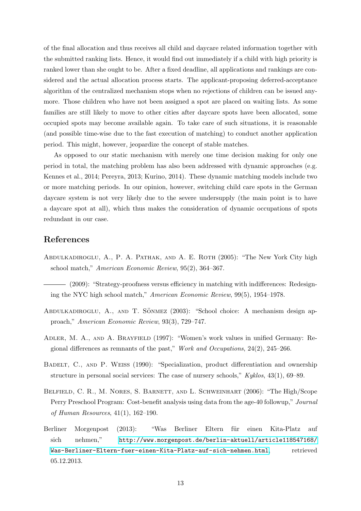of the final allocation and thus receives all child and daycare related information together with the submitted ranking lists. Hence, it would find out immediately if a child with high priority is ranked lower than she ought to be. After a fixed deadline, all applications and rankings are considered and the actual allocation process starts. The applicant-proposing deferred-acceptance algorithm of the centralized mechanism stops when no rejections of children can be issued anymore. Those children who have not been assigned a spot are placed on waiting lists. As some families are still likely to move to other cities after daycare spots have been allocated, some occupied spots may become available again. To take care of such situations, it is reasonable (and possible time-wise due to the fast execution of matching) to conduct another application period. This might, however, jeopardize the concept of stable matches.

As opposed to our static mechanism with merely one time decision making for only one period in total, the matching problem has also been addressed with dynamic approaches (e.g. Kennes et al., 2014; Pereyra, 2013; Kurino, 2014). These dynamic matching models include two or more matching periods. In our opinion, however, switching child care spots in the German daycare system is not very likely due to the severe undersupply (the main point is to have a daycare spot at all), which thus makes the consideration of dynamic occupations of spots redundant in our case.

#### References

- ABDULKADIROGLU, A., P. A. PATHAK, AND A. E. ROTH (2005): "The New York City high school match," American Economic Review, 95(2), 364–367.
- (2009): "Strategy-proofness versus efficiency in matching with indifferences: Redesigning the NYC high school match," American Economic Review, 99(5), 1954–1978.
- ABDULKADIROGLU, A., AND T. SÖNMEZ (2003): "School choice: A mechanism design approach," American Economic Review, 93(3), 729–747.
- Adler, M. A., and A. Brayfield (1997): "Women's work values in unified Germany: Regional differences as remnants of the past," Work and Occupations, 24(2), 245–266.
- BADELT, C., AND P. WEISS (1990): "Specialization, product differentiation and ownership structure in personal social services: The case of nursery schools," Kyklos, 43(1), 69–89.
- Belfield, C. R., M. Nores, S. Barnett, and L. Schweinhart (2006): "The High/Scope Perry Preschool Program: Cost-benefit analysis using data from the age-40 followup," Journal of Human Resources, 41(1), 162–190.
- Berliner Morgenpost (2013): "Was Berliner Eltern für einen Kita-Platz auf sich nehmen," [http://www.morgenpost.de/berlin-aktuell/article118547168/](http://www.morgenpost.de/berlin-aktuell/article118547168/Was-Berliner-Eltern-fuer-einen-Kita-Platz-auf-sich-nehmen.html) [Was-Berliner-Eltern-fuer-einen-Kita-Platz-auf-sich-nehmen.html](http://www.morgenpost.de/berlin-aktuell/article118547168/Was-Berliner-Eltern-fuer-einen-Kita-Platz-auf-sich-nehmen.html), retrieved 05.12.2013.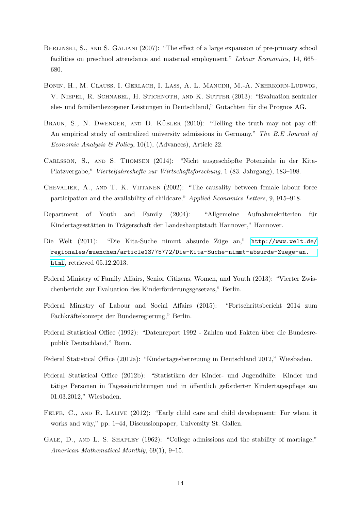- BERLINSKI, S., AND S. GALIANI (2007): "The effect of a large expansion of pre-primary school facilities on preschool attendance and maternal employment," Labour Economics, 14, 665– 680.
- Bonin, H., M. Clauss, I. Gerlach, I. Laß, A. L. Mancini, M.-A. Nehrkorn-Ludwig, V. Niepel, R. Schnabel, H. Stichnoth, and K. Sutter (2013): "Evaluation zentraler ehe- und familienbezogener Leistungen in Deutschland," Gutachten für die Prognos AG.
- BRAUN, S., N. DWENGER, AND D. KÜBLER  $(2010)$ : "Telling the truth may not pay off: An empirical study of centralized university admissions in Germany," The B.E Journal of Economic Analysis & Policy, 10(1), (Advances), Article 22.
- CARLSSON, S., AND S. THOMSEN (2014): "Nicht ausgeschöpfte Potenziale in der Kita-Platzvergabe," Vierteljahreshefte zur Wirtschaftsforschung, 1 (83. Jahrgang), 183–198.
- CHEVALIER, A., AND T. K. VIITANEN (2002): "The causality between female labour force participation and the availability of childcare," Applied Economics Letters, 9, 915–918.
- Department of Youth and Family (2004): "Allgemeine Aufnahmekriterien für Kindertagesstätten in Trägerschaft der Landeshauptstadt Hannover," Hannover.
- Die Welt (2011): "Die Kita-Suche nimmt absurde Züge an," [http://www.welt.de/](http://www.welt.de/regionales/muenchen/article13775772/Die-Kita-Suche-nimmt-absurde-Zuege-an.html) [regionales/muenchen/article13775772/Die-Kita-Suche-nimmt-absurde-Zuege-an.](http://www.welt.de/regionales/muenchen/article13775772/Die-Kita-Suche-nimmt-absurde-Zuege-an.html) [html](http://www.welt.de/regionales/muenchen/article13775772/Die-Kita-Suche-nimmt-absurde-Zuege-an.html), retrieved 05.12.2013.
- Federal Ministry of Family Affairs, Senior Citizens, Women, and Youth (2013): "Vierter Zwischenbericht zur Evaluation des Kinderförderungsgesetzes," Berlin.
- Federal Ministry of Labour and Social Affairs (2015): "Fortschrittsbericht 2014 zum Fachkräftekonzept der Bundesregierung," Berlin.
- Federal Statistical Office (1992): "Datenreport 1992 Zahlen und Fakten über die Bundesrepublik Deutschland," Bonn.
- Federal Statistical Office (2012a): "Kindertagesbetreuung in Deutschland 2012," Wiesbaden.
- Federal Statistical Office (2012b): "Statistiken der Kinder- und Jugendhilfe: Kinder und tätige Personen in Tageseinrichtungen und in öffentlich geförderter Kindertagespflege am 01.03.2012," Wiesbaden.
- FELFE, C., AND R. LALIVE (2012): "Early child care and child development: For whom it works and why," pp. 1–44, Discussionpaper, University St. Gallen.
- GALE, D., AND L. S. SHAPLEY (1962): "College admissions and the stability of marriage," American Mathematical Monthly, 69(1), 9–15.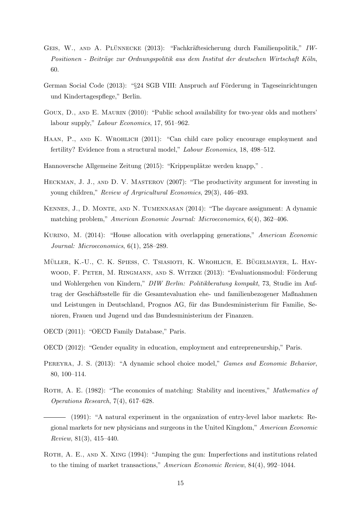- GEIS, W., AND A. PLÜNNECKE (2013): "Fachkräftesicherung durch Familienpolitik," IW-Positionen - Beiträge zur Ordnungspolitik aus dem Institut der deutschen Wirtschaft Köln, 60.
- German Social Code (2013): "§24 SGB VIII: Anspruch auf Förderung in Tageseinrichtungen und Kindertagespflege," Berlin.
- GOUX, D., AND E. MAURIN (2010): "Public school availability for two-year olds and mothers' labour supply," Labour Economics, 17, 951–962.
- HAAN, P., AND K. WROHLICH (2011): "Can child care policy encourage employment and fertility? Evidence from a structural model," Labour Economics, 18, 498–512.
- Hannoversche Allgemeine Zeitung (2015): "Krippenplätze werden knapp,".
- HECKMAN, J. J., AND D. V. MASTEROV (2007): "The productivity argument for investing in young children," Review of Argricultural Economics, 29(3), 446–493.
- Kennes, J., D. Monte, and N. Tumennasan (2014): "The daycare assignment: A dynamic matching problem," American Economic Journal: Microeconomics, 6(4), 362–406.
- Kurino, M. (2014): "House allocation with overlapping generations," American Economic Journal: Microeconomics, 6(1), 258–289.
- MÜLLER, K.-U., C. K. SPIESS, C. TSIASIOTI, K. WROHLICH, E. BÜGELMAYER, L. HAYwood, F. PETER, M. RINGMANN, AND S. WITZKE (2013): "Evaluationsmodul: Förderung und Wohlergehen von Kindern," DIW Berlin: Politikberatung kompakt, 73, Studie im Auftrag der Geschäftsstelle für die Gesamtevaluation ehe- und familienbezogener Maßnahmen und Leistungen in Deutschland, Prognos AG, für das Bundesministerium für Familie, Senioren, Frauen und Jugend und das Bundesministerium der Finanzen.
- OECD (2011): "OECD Family Database," Paris.
- OECD (2012): "Gender equality in education, employment and entrepreneurship," Paris.
- PEREYRA, J. S. (2013): "A dynamic school choice model," Games and Economic Behavior, 80, 100–114.
- ROTH, A. E. (1982): "The economics of matching: Stability and incentives," Mathematics of Operations Research, 7(4), 617–628.
- (1991): "A natural experiment in the organization of entry-level labor markets: Regional markets for new physicians and surgeons in the United Kingdom," American Economic Review, 81(3), 415–440.
- ROTH, A. E., AND X. XING (1994): "Jumping the gun: Imperfections and institutions related to the timing of market transactions," American Economic Review, 84(4), 992–1044.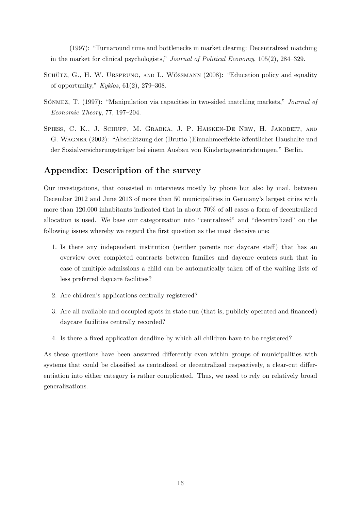(1997): "Turnaround time and bottlenecks in market clearing: Decentralized matching in the market for clinical psychologists," Journal of Political Economy, 105(2), 284–329.

- SCHÜTZ, G., H. W. URSPRUNG, AND L. WÖSSMANN (2008): "Education policy and equality of opportunity,"  $Kyklos, 61(2), 279-308$ .
- SÖNMEZ, T. (1997): "Manipulation via capacities in two-sided matching markets," *Journal of* Economic Theory, 77, 197–204.
- SPIESS, C. K., J. SCHUPP, M. GRABKA, J. P. HAISKEN-DE NEW, H. JAKOBEIT, AND G. WAGNER (2002): "Abschätzung der (Brutto-)Einnahmeeffekte öffentlicher Haushalte und der Sozialversicherungsträger bei einem Ausbau von Kindertageseinrichtungen," Berlin.

#### Appendix: Description of the survey

Our investigations, that consisted in interviews mostly by phone but also by mail, between December 2012 and June 2013 of more than 50 municipalities in Germany's largest cities with more than 120.000 inhabitants indicated that in about 70% of all cases a form of decentralized allocation is used. We base our categorization into "centralized" and "decentralized" on the following issues whereby we regard the first question as the most decisive one:

- 1. Is there any independent institution (neither parents nor daycare staff) that has an overview over completed contracts between families and daycare centers such that in case of multiple admissions a child can be automatically taken off of the waiting lists of less preferred daycare facilities?
- 2. Are children's applications centrally registered?
- 3. Are all available and occupied spots in state-run (that is, publicly operated and financed) daycare facilities centrally recorded?
- 4. Is there a fixed application deadline by which all children have to be registered?

As these questions have been answered differently even within groups of municipalities with systems that could be classified as centralized or decentralized respectively, a clear-cut differentiation into either category is rather complicated. Thus, we need to rely on relatively broad generalizations.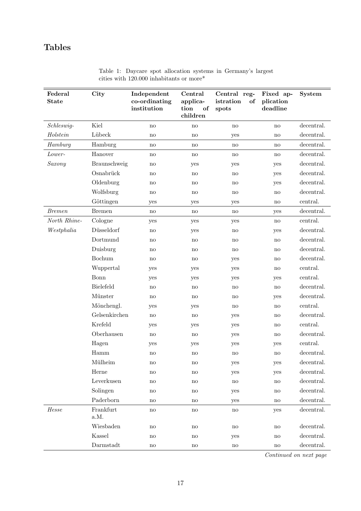# Tables

| Federal<br><b>State</b> | City                                 | Independent<br>co-ordinating<br>$\operatorname{institution}$ | Central<br>applica-<br>tion<br>of<br>children | Central reg-<br>istration<br>of<br>spots | Fixed ap-<br>plication<br>deadline | <b>System</b> |
|-------------------------|--------------------------------------|--------------------------------------------------------------|-----------------------------------------------|------------------------------------------|------------------------------------|---------------|
| Schleswig-              | Kiel                                 | no                                                           | $\mathbf{no}$                                 | no                                       | $\mathbf{no}$                      | decentral.    |
| Holstein                | Lübeck                               | $\mathbf{n}\mathbf{o}$                                       | $\mathop{\mathrm{no}}$                        | yes                                      | $\mathbf{n}\mathbf{o}$             | decentral.    |
| Hamburg                 | Hamburg                              | no                                                           | no                                            | no                                       | no                                 | decentral.    |
| Lower-                  | Hanover                              | no                                                           | no                                            | no                                       | no                                 | decentral.    |
| Saxony                  | Braunschweig                         | no                                                           | yes                                           | yes                                      | yes                                | decentral.    |
|                         | Osnabrück                            | $\mathbf{n}\mathbf{o}$                                       | $\mathbf{no}$                                 | no                                       | yes                                | decentral.    |
|                         | Oldenburg                            | $\operatorname{no}$                                          | no                                            | no                                       | yes                                | decentral.    |
|                         | Wolfsburg                            | no                                                           | no                                            | no                                       | no                                 | decentral.    |
|                         | Göttingen                            | yes                                                          | yes                                           | yes                                      | $\mathbf{n}$                       | central.      |
| <b>Bremen</b>           | <b>Bremen</b>                        | $\mathbf{no}$                                                | $\mathop{\mathrm{no}}$                        | $\mathbf{n}\mathbf{o}$                   | yes                                | decentral.    |
| North Rhine-            | Cologne                              | yes                                                          | yes                                           | yes                                      | no                                 | central.      |
| Westphalia              | Düsseldorf                           | $\mathbf{n}\mathbf{o}$                                       | yes                                           | $\mathop{\mathrm{no}}$                   | yes                                | decentral.    |
|                         | Dortmund                             | $\mathbf{n}\mathbf{o}$                                       | $\mathop{\mathrm{no}}$                        | no                                       | $\mathbf{n}\mathbf{o}$             | decentral.    |
|                         | Duisburg                             | no                                                           | no                                            | no                                       | no                                 | decentral.    |
|                         | Bochum                               | $\mathbf{no}$                                                | $\operatorname{no}$                           | yes                                      | $\mathbf{n}\mathbf{o}$             | decentral.    |
|                         | Wuppertal                            | yes                                                          | yes                                           | yes                                      | $\mathbf{n}\mathbf{o}$             | central.      |
|                         | Bonn                                 | yes                                                          | yes                                           | yes                                      | yes                                | central.      |
|                         | Bielefeld                            | no                                                           | $\mathbf{no}$                                 | no                                       | no                                 | decentral.    |
|                         | Münster                              | $\mathbf{n}\mathbf{o}$                                       | no                                            | no                                       | yes                                | decentral.    |
|                         | Mönchengl.                           | yes                                                          | yes                                           | no                                       | no                                 | central.      |
|                         | Gelsenkirchen                        | $\mathbf{no}$                                                | $\mathbf{n}\mathbf{o}$                        | yes                                      | $\mathbf{n}\mathbf{o}$             | decentral.    |
|                         | Krefeld                              | yes                                                          | yes                                           | yes                                      | no                                 | central.      |
|                         | Oberhausen                           | $\mathbf{n}\mathbf{o}$                                       | $\mathbf{no}$                                 | yes                                      | no                                 | decentral.    |
|                         | Hagen                                | yes                                                          | yes                                           | yes                                      | yes                                | central.      |
|                         | Hamm                                 | no                                                           | no                                            | no                                       | no                                 | decentral.    |
|                         | Mülheim                              | $\operatorname{no}$                                          | $\rm {no}$                                    | yes                                      | yes                                | decentral.    |
|                         | Herne                                | no                                                           | $\mathbf{no}$                                 | yes                                      | yes                                | decentral.    |
|                         | Leverkusen                           | $\mathbf{no}$                                                | $\operatorname{no}$                           | no                                       | $\mathop{\mathrm{no}}$             | decentral.    |
|                         | Solingen                             | $\mathbf{no}$                                                | $\mathbf{no}$                                 | yes                                      | $\mathbf{n}\mathbf{o}$             | decentral.    |
|                         | Paderborn                            | $\mathbf{no}$                                                | $\operatorname{no}$                           | yes                                      | no                                 | decentral.    |
| Hesse                   | Frankfurt<br>$\mathrm{a.M.}$         | $\operatorname{no}$                                          | $\operatorname{no}$                           | no                                       | yes                                | decentral.    |
|                         | Wiesbaden                            | $\operatorname{no}$                                          | $\operatorname{no}$                           | $\operatorname{no}$                      | no                                 | decentral.    |
|                         | Kassel                               | $\operatorname{no}$                                          | $\operatorname{no}$                           | yes                                      | no                                 | decentral.    |
|                         | $\label{eq:1} {\rm {\bf Darmstadt}}$ | $\rm{no}$                                                    | $\rm{no}$                                     | $\rm{no}$                                | $\rm {no}$                         | decentral.    |

|  |  |                                                      |  | Table 1: Daycare spot allocation systems in Germany's largest |  |
|--|--|------------------------------------------------------|--|---------------------------------------------------------------|--|
|  |  | cities with 120.000 inhabitants or more <sup>*</sup> |  |                                                               |  |

Continued on next page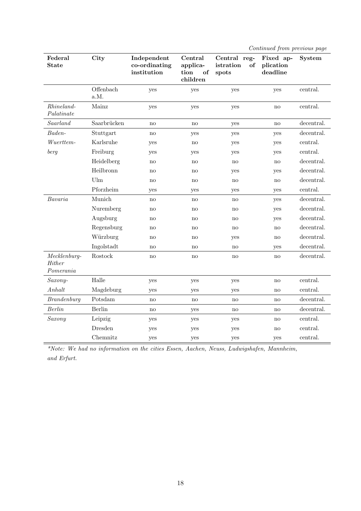| Continued from previous page |  |  |
|------------------------------|--|--|
|                              |  |  |

| Federal<br><b>State</b>               | City              | Independent<br>co-ordinating<br>institution | Central<br>applica-<br>tion<br>of<br>children |     | Fixed ap-<br>plication<br>deadline | System     |
|---------------------------------------|-------------------|---------------------------------------------|-----------------------------------------------|-----|------------------------------------|------------|
|                                       | Offenbach<br>a.M. | yes                                         | yes                                           | yes | yes                                | central.   |
| Rh ineland<br>Palatinate              | Mainz             | yes                                         | yes                                           | yes | no                                 | central.   |
| Saarland                              | Saarbrücken       | no                                          | $\mathbf{no}$                                 | yes | no                                 | decentral. |
| Baden-                                | Stuttgart         | no                                          | yes                                           | yes | yes                                | decentral. |
| Wuerttem-                             | Karlsruhe         | yes                                         | no                                            | yes | yes                                | central.   |
| berg                                  | Freiburg          | yes                                         | yes                                           | yes | yes                                | central.   |
|                                       | Heidelberg        | no                                          | no                                            | no  | no                                 | decentral. |
|                                       | Heilbronn         | no                                          | no                                            | yes | yes                                | decentral. |
|                                       | Ulm               | no                                          | no                                            | no  | no                                 | decentral. |
|                                       | Pforzheim         | yes                                         | yes                                           | yes | yes                                | central.   |
| Bavaria                               | Munich            | no                                          | no                                            | no  | yes                                | decentral. |
|                                       | Nuremberg         | no                                          | no                                            | no  | yes                                | decentral. |
|                                       | Augsburg          | no                                          | no                                            | no  | yes                                | decentral. |
|                                       | Regensburg        | no                                          | no                                            | no  | $\mathbf{n}\mathbf{o}$             | decentral. |
|                                       | Würzburg          | no                                          | no                                            | yes | no                                 | decentral. |
|                                       | Ingolstadt        | no                                          | no                                            | no  | yes                                | decentral. |
| $Mechlenburg-$<br>Hither<br>Pomerania | Rostock           | no                                          | no                                            | no  | no                                 | decentral. |
| Saxony-                               | Halle             | yes                                         | yes                                           | yes | no                                 | central.   |
| Anhalt                                | Magdeburg         | yes                                         | yes                                           | yes | no                                 | central.   |
| <b>Brandenburg</b>                    | Potsdam           | no                                          | no                                            | no  | no                                 | decentral. |
| <b>Berlin</b>                         | Berlin            | no                                          | yes                                           | no  | no                                 | decentral. |
| Saxony                                | Leipzig           | yes                                         | yes                                           | yes | no                                 | central.   |
|                                       | Dresden           | yes                                         | yes                                           | yes | no                                 | central.   |
|                                       | Chemnitz          | yes                                         | yes                                           | yes | yes                                | central.   |

\*Note: We had no information on the cities Essen, Aachen, Neuss, Ludwigshafen, Mannheim, and Erfurt.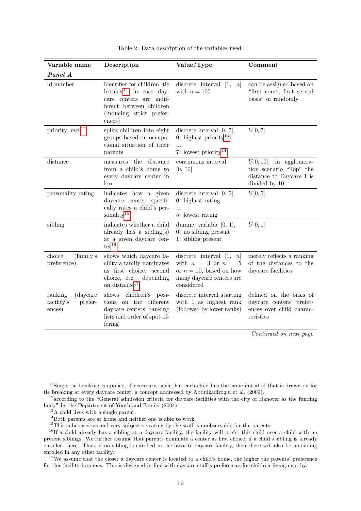| Variable name                                          | Description                                                                                                                                                    | Value/Type                                                                                                                    | Comment                                                                                            |  |
|--------------------------------------------------------|----------------------------------------------------------------------------------------------------------------------------------------------------------------|-------------------------------------------------------------------------------------------------------------------------------|----------------------------------------------------------------------------------------------------|--|
| Panel A                                                |                                                                                                                                                                |                                                                                                                               |                                                                                                    |  |
| id number                                              | identifier for children, tie<br>breaker <sup>11</sup> in case day-<br>care centers are indif-<br>ferent between children<br>(inducing strict prefer-<br>ences) | discrete interval $\left[1, \right]$<br>n<br>with $n = 100$                                                                   | can be assigned based on<br>"first come, first served<br>basis" or randomly                        |  |
| priority $level12$                                     | splits children into eight<br>groups based on occupa-<br>tional situation of their<br>parents                                                                  | discrete interval $[0, 7]$ ,<br>0: highest priority <sup>13</sup><br>$\dddotsc$<br>7: lowest priority <sup>14</sup>           | U[0, 7]                                                                                            |  |
| distance                                               | measures the<br>distance<br>from a child's home to<br>every daycare center in<br>km                                                                            | continuous interval<br>[0, 10]                                                                                                | $U[0, 10]$ , in agglomera-<br>tion scenario "Top" the<br>distance to Daycare 1 is<br>divided by 10 |  |
| personality rating                                     | indicates how a given<br>daycare center specifi-<br>cally rates a child's per-<br>sonality <sup>15</sup>                                                       | discrete interval $[0, 5]$ ,<br>$0:$ highest rating<br>5: lowest rating                                                       | U[0,5]                                                                                             |  |
| sibling                                                | indicates whether a child<br>already has a sibling(s)<br>at a given daycare cen-<br>$\mathrm{ter}^{16}$                                                        | dummy variable $[0, 1]$ ,<br>$0:$ no sibling present<br>1: sibling present                                                    | U[0,1]                                                                                             |  |
| choice<br>(family's)<br>preference)                    | shows which daycare fa-<br>cility a family nominates<br>as first choice, second<br>choice, etc.<br>depending<br>on distance <sup>17</sup>                      | discrete interval $[1, n]$<br>with $n = 3$ or $n = 5$<br>or $n = 10$ , based on how<br>many daycare centers are<br>considered | merely reflects a ranking<br>of the distances to the<br>daycare facilities                         |  |
| (daycare<br>ranking<br>facility's<br>prefer-<br>ences) | children's posi-<br>shows<br>tions on the different<br>daycare centers' ranking<br>lists and order of spot of-<br>fering                                       | discrete interval starting<br>with 1 as highest rank<br>(followed by lower ranks)                                             | defined on the basis of<br>daycare centers' prefer-<br>ences over child charac-<br>teristics       |  |
|                                                        |                                                                                                                                                                |                                                                                                                               | $Ocon$ inizial and name name                                                                       |  |

Table 2: Data description of the variables used

Continued on next page

<sup>&</sup>lt;sup>11</sup>Single tie breaking is applied, if necessary, such that each child has the same initial id that is drawn on for tie breaking at every daycare center, a concept addressed by Abdulkadiroglu et al. (2009).

 $12$  according to the "General admission criteria for daycare facilities with the city of Hanover as the funding body" by the Department of Youth and Family (2004)

<sup>&</sup>lt;sup>13</sup>A child lives with a single parent.

<sup>14</sup>Both parents are at home and neither one is able to work.

<sup>&</sup>lt;sup>15</sup>This subconscious and very subjective rating by the staff is unobservable for the parents.

<sup>&</sup>lt;sup>16</sup>If a child already has a sibling at a daycare facility, the facility will prefer this child over a child with no present siblings. We further assume that parents nominate a center as first choice, if a child's sibling is already enrolled there. Thus, if no sibling is enrolled in the favorite daycare facility, then there will also be no sibling enrolled in any other facility.

<sup>&</sup>lt;sup>17</sup>We assume that the closer a daycare center is located to a child's home, the higher the parents' preference for this facility becomes. This is designed in line with daycare staff's preferences for children living near by.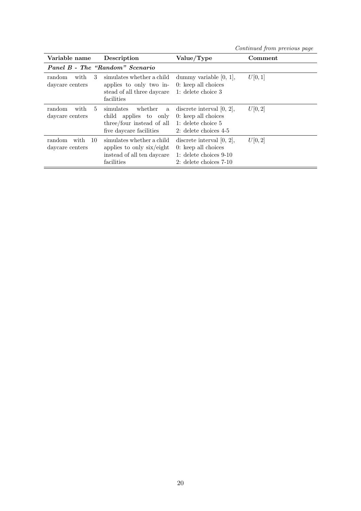Continued from previous page

| Variable name                           | Description                                                                                                 | Value/Type                                                                                                      | Comment |  |  |  |  |  |  |  |
|-----------------------------------------|-------------------------------------------------------------------------------------------------------------|-----------------------------------------------------------------------------------------------------------------|---------|--|--|--|--|--|--|--|
|                                         | Panel B - The "Random" Scenario                                                                             |                                                                                                                 |         |  |  |  |  |  |  |  |
| 3<br>random<br>with<br>daycare centers  | simulates whether a child<br>applies to only two in-<br>stead of all three daycare<br>facilities            | dummy variable $[0, 1]$ ,<br>$0:$ keep all choices<br>1: delete choice 3                                        | U[0,1]  |  |  |  |  |  |  |  |
| random<br>with<br>5<br>daycare centers  | whether<br>simulates<br>a<br>child applies to only<br>three/four instead of all<br>five daycare facilities  | discrete interval $[0, 2]$ ,<br>$0:$ keep all choices<br>1: delete choice 5<br>2: delete choices $4-5$          | U[0,2]  |  |  |  |  |  |  |  |
| random<br>with<br>10<br>daycare centers | simulates whether a child<br>applies to only $\dot{s}$ ix/eight<br>instead of all ten daycare<br>facilities | discrete interval $[0, 2]$ ,<br>$0:$ keep all choices<br>1: delete choices $9-10$<br>$2:$ delete choices $7-10$ | U[0,2]  |  |  |  |  |  |  |  |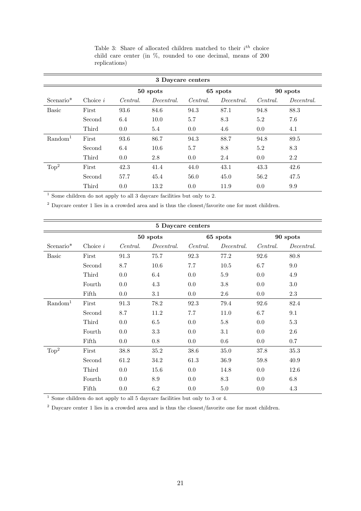| 3 Daycare centers                |            |          |            |          |            |          |            |  |
|----------------------------------|------------|----------|------------|----------|------------|----------|------------|--|
| 50 spots<br>65 spots<br>90 spots |            |          |            |          |            |          |            |  |
| $Scenario*$                      | Choice $i$ | Central. | Decentral. | Central. | Decentral. | Central. | Decentral. |  |
| <b>Basic</b>                     | First      | 93.6     | 84.6       | 94.3     | 87.1       | 94.8     | 88.3       |  |
|                                  | Second     | 6.4      | 10.0       | 5.7      | 8.3        | 5.2      | 7.6        |  |
|                                  | Third      | 0.0      | 5.4        | 0.0      | 4.6        | 0.0      | 4.1        |  |
| $\rm Random1$                    | First      | 93.6     | 86.7       | 94.3     | 88.7       | 94.8     | 89.5       |  |
|                                  | Second     | 6.4      | 10.6       | 5.7      | 8.8        | 5.2      | 8.3        |  |
|                                  | Third      | 0.0      | 2.8        | 0.0      | 2.4        | 0.0      | 2.2        |  |
| Top <sup>2</sup>                 | First      | 42.3     | 41.4       | 44.0     | 43.1       | 43.3     | 42.6       |  |
|                                  | Second     | 57.7     | 45.4       | 56.0     | 45.0       | 56.2     | 47.5       |  |
|                                  | Third      | 0.0      | 13.2       | 0.0      | 11.9       | 0.0      | 9.9        |  |

Table 3: Share of allocated children matched to their  $i^{th}$  choice child care center (in %, rounded to one decimal, means of 200 replications)

 $1$  Some children do not apply to all 3 daycare facilities but only to 2.

<sup>2</sup> Daycare center 1 lies in a crowded area and is thus the closest/favorite one for most children.

| 5 Daycare centers   |            |          |            |          |            |          |            |  |
|---------------------|------------|----------|------------|----------|------------|----------|------------|--|
|                     |            |          | 50 spots   |          | 65 spots   | 90 spots |            |  |
| Scenario*           | Choice $i$ | Central. | Decentral. | Central. | Decentral. | Central. | Decentral. |  |
| <b>Basic</b>        | First      | 91.3     | 75.7       | 92.3     | 77.2       | 92.6     | 80.8       |  |
|                     | Second     | 8.7      | 10.6       | 7.7      | $10.5$     | 6.7      | 9.0        |  |
|                     | Third      | 0.0      | 6.4        | 0.0      | $5.9\,$    | 0.0      | 4.9        |  |
|                     | Fourth     | 0.0      | 4.3        | 0.0      | $3.8\,$    | 0.0      | $3.0\,$    |  |
|                     | Fifth      | 0.0      | 3.1        | 0.0      | $2.6\,$    | $0.0\,$  | $2.3\,$    |  |
| Random <sup>1</sup> | First      | 91.3     | 78.2       | 92.3     | 79.4       | 92.6     | 82.4       |  |
|                     | Second     | 8.7      | 11.2       | 7.7      | 11.0       | 6.7      | 9.1        |  |
|                     | Third      | 0.0      | $6.5\,$    | 0.0      | $5.8\,$    | 0.0      | $5.3\,$    |  |
|                     | Fourth     | 0.0      | $3.3\,$    | 0.0      | 3.1        | 0.0      | $2.6\,$    |  |
|                     | Fifth      | 0.0      | $0.8\,$    | 0.0      | 0.6        | 0.0      | 0.7        |  |
| Top <sup>2</sup>    | First      | 38.8     | 35.2       | 38.6     | 35.0       | 37.8     | $35.3\,$   |  |
|                     | Second     | 61.2     | 34.2       | 61.3     | 36.9       | 59.8     | 40.9       |  |
|                     | Third      | 0.0      | 15.6       | 0.0      | 14.8       | 0.0      | 12.6       |  |
|                     | Fourth     | 0.0      | 8.9        | 0.0      | 8.3        | 0.0      | 6.8        |  |
|                     | Fifth      | 0.0      | $6.2\,$    | 0.0      | 5.0        | 0.0      | 4.3        |  |

 $\frac{1}{1}$  Some children do not apply to all 5 daycare facilities but only to 3 or 4.

<sup>2</sup> Daycare center 1 lies in a crowded area and is thus the closest/favorite one for most children.